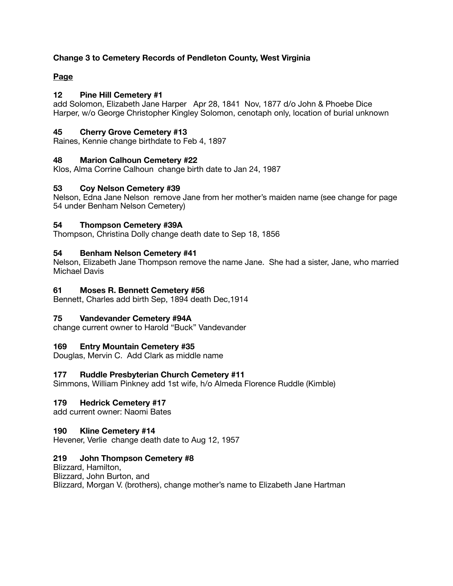# **Change 3 to Cemetery Records of Pendleton County, West Virginia**

# **Page**

# **12 Pine Hill Cemetery #1**

add Solomon, Elizabeth Jane Harper Apr 28, 1841 Nov, 1877 d/o John & Phoebe Dice Harper, w/o George Christopher Kingley Solomon, cenotaph only, location of burial unknown

# **45 Cherry Grove Cemetery #13**

Raines, Kennie change birthdate to Feb 4, 1897

# **48 Marion Calhoun Cemetery #22**

Klos, Alma Corrine Calhoun change birth date to Jan 24, 1987

# **53 Coy Nelson Cemetery #39**

Nelson, Edna Jane Nelson remove Jane from her mother's maiden name (see change for page 54 under Benham Nelson Cemetery)

# **54 Thompson Cemetery #39A**

Thompson, Christina Dolly change death date to Sep 18, 1856

# **54 Benham Nelson Cemetery #41**

Nelson, Elizabeth Jane Thompson remove the name Jane. She had a sister, Jane, who married Michael Davis

# **61 Moses R. Bennett Cemetery #56**

Bennett, Charles add birth Sep, 1894 death Dec,1914

### **75 Vandevander Cemetery #94A**

change current owner to Harold "Buck" Vandevander

# **169 Entry Mountain Cemetery #35**

Douglas, Mervin C. Add Clark as middle name

### **177 Ruddle Presbyterian Church Cemetery #11**

Simmons, William Pinkney add 1st wife, h/o Almeda Florence Ruddle (Kimble)

### **179 Hedrick Cemetery #17**

add current owner: Naomi Bates

### **190 Kline Cemetery #14**

Hevener, Verlie change death date to Aug 12, 1957

### **219 John Thompson Cemetery #8**

Blizzard, Hamilton, Blizzard, John Burton, and Blizzard, Morgan V. (brothers), change mother's name to Elizabeth Jane Hartman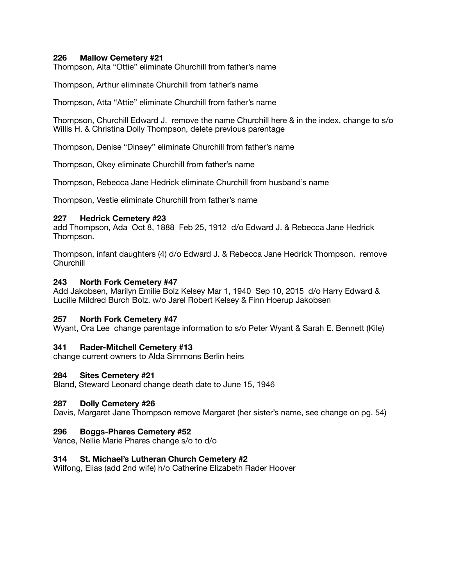## **226 Mallow Cemetery #21**

Thompson, Alta "Ottie" eliminate Churchill from father's name

Thompson, Arthur eliminate Churchill from father's name

Thompson, Atta "Attie" eliminate Churchill from father's name

Thompson, Churchill Edward J. remove the name Churchill here & in the index, change to s/o Willis H. & Christina Dolly Thompson, delete previous parentage

Thompson, Denise "Dinsey" eliminate Churchill from father's name

Thompson, Okey eliminate Churchill from father's name

Thompson, Rebecca Jane Hedrick eliminate Churchill from husband's name

Thompson, Vestie eliminate Churchill from father's name

#### **227 Hedrick Cemetery #23**

add Thompson, Ada Oct 8, 1888 Feb 25, 1912 d/o Edward J. & Rebecca Jane Hedrick Thompson.

Thompson, infant daughters (4) d/o Edward J. & Rebecca Jane Hedrick Thompson. remove **Churchill** 

#### **243 North Fork Cemetery #47**

Add Jakobsen, Marilyn Emilie Bolz Kelsey Mar 1, 1940 Sep 10, 2015 d/o Harry Edward & Lucille Mildred Burch Bolz. w/o Jarel Robert Kelsey & Finn Hoerup Jakobsen

### **257 North Fork Cemetery #47**

Wyant, Ora Lee change parentage information to s/o Peter Wyant & Sarah E. Bennett (Kile)

### **341 Rader-Mitchell Cemetery #13**

change current owners to Alda Simmons Berlin heirs

### **284 Sites Cemetery #21**

Bland, Steward Leonard change death date to June 15, 1946

#### **287 Dolly Cemetery #26**

Davis, Margaret Jane Thompson remove Margaret (her sister's name, see change on pg. 54)

### **296 Boggs-Phares Cemetery #52**

Vance, Nellie Marie Phares change s/o to d/o

### **314 St. Michael's Lutheran Church Cemetery #2**

Wilfong, Elias (add 2nd wife) h/o Catherine Elizabeth Rader Hoover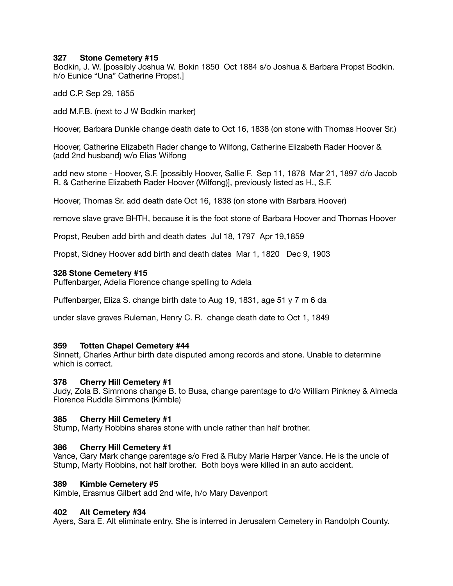### **327 Stone Cemetery #15**

Bodkin, J. W. [possibly Joshua W. Bokin 1850 Oct 1884 s/o Joshua & Barbara Propst Bodkin. h/o Eunice "Una" Catherine Propst.]

add C.P. Sep 29, 1855

add M.F.B. (next to J W Bodkin marker)

Hoover, Barbara Dunkle change death date to Oct 16, 1838 (on stone with Thomas Hoover Sr.)

Hoover, Catherine Elizabeth Rader change to Wilfong, Catherine Elizabeth Rader Hoover & (add 2nd husband) w/o Elias Wilfong

add new stone - Hoover, S.F. [possibly Hoover, Sallie F. Sep 11, 1878 Mar 21, 1897 d/o Jacob R. & Catherine Elizabeth Rader Hoover (Wilfong)], previously listed as H., S.F.

Hoover, Thomas Sr. add death date Oct 16, 1838 (on stone with Barbara Hoover)

remove slave grave BHTH, because it is the foot stone of Barbara Hoover and Thomas Hoover

Propst, Reuben add birth and death dates Jul 18, 1797 Apr 19,1859

Propst, Sidney Hoover add birth and death dates Mar 1, 1820 Dec 9, 1903

### **328 Stone Cemetery #15**

Puffenbarger, Adelia Florence change spelling to Adela

Puffenbarger, Eliza S. change birth date to Aug 19, 1831, age 51 y 7 m 6 da

under slave graves Ruleman, Henry C. R. change death date to Oct 1, 1849

### **359 Totten Chapel Cemetery #44**

Sinnett, Charles Arthur birth date disputed among records and stone. Unable to determine which is correct.

### **378 Cherry Hill Cemetery #1**

Judy, Zola B. Simmons change B. to Busa, change parentage to d/o William Pinkney & Almeda Florence Ruddle Simmons (Kimble)

### **385 Cherry Hill Cemetery #1**

Stump, Marty Robbins shares stone with uncle rather than half brother.

### **386 Cherry Hill Cemetery #1**

Vance, Gary Mark change parentage s/o Fred & Ruby Marie Harper Vance. He is the uncle of Stump, Marty Robbins, not half brother. Both boys were killed in an auto accident.

### **389 Kimble Cemetery #5**

Kimble, Erasmus Gilbert add 2nd wife, h/o Mary Davenport

### **402 Alt Cemetery #34**

Ayers, Sara E. Alt eliminate entry. She is interred in Jerusalem Cemetery in Randolph County.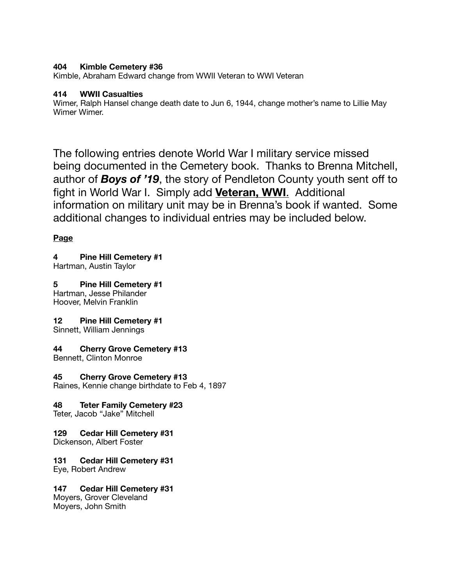# **404 Kimble Cemetery #36**

Kimble, Abraham Edward change from WWII Veteran to WWI Veteran

# **414 WWII Casualties**

Wimer, Ralph Hansel change death date to Jun 6, 1944, change mother's name to Lillie May Wimer Wimer.

The following entries denote World War I military service missed being documented in the Cemetery book. Thanks to Brenna Mitchell, author of *Boys of '19*, the story of Pendleton County youth sent off to fight in World War I. Simply add **Veteran, WWI**. Additional information on military unit may be in Brenna's book if wanted. Some additional changes to individual entries may be included below.

# **Page**

# **4 Pine Hill Cemetery #1**

Hartman, Austin Taylor

# **5 Pine Hill Cemetery #1**

Hartman, Jesse Philander Hoover, Melvin Franklin

# **12 Pine Hill Cemetery #1**

Sinnett, William Jennings

# **44 Cherry Grove Cemetery #13**

Bennett, Clinton Monroe

# **45 Cherry Grove Cemetery #13**

Raines, Kennie change birthdate to Feb 4, 1897

# **48 Teter Family Cemetery #23**

Teter, Jacob "Jake" Mitchell

# **129 Cedar Hill Cemetery #31**

Dickenson, Albert Foster

# **131 Cedar Hill Cemetery #31**

Eye, Robert Andrew

# **147 Cedar Hill Cemetery #31**

Moyers, Grover Cleveland Moyers, John Smith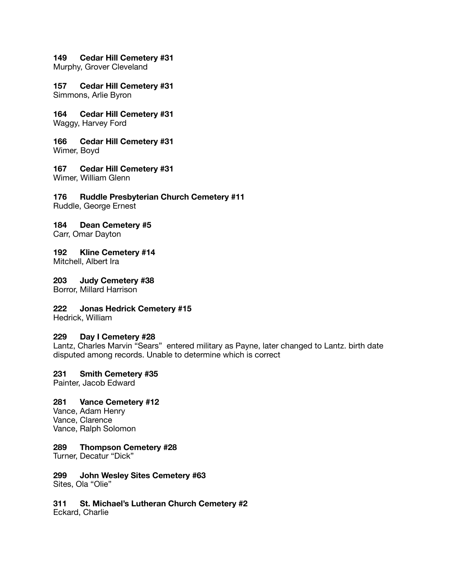#### **149 Cedar Hill Cemetery #31**

Murphy, Grover Cleveland

### **157 Cedar Hill Cemetery #31**

Simmons, Arlie Byron

# **164 Cedar Hill Cemetery #31**

Waggy, Harvey Ford

# **166 Cedar Hill Cemetery #31**

Wimer, Boyd

# **167 Cedar Hill Cemetery #31**

Wimer, William Glenn

# **176 Ruddle Presbyterian Church Cemetery #11**

Ruddle, George Ernest

# **184 Dean Cemetery #5**

Carr, Omar Dayton

### **192 Kline Cemetery #14**

Mitchell, Albert Ira

# **203 Judy Cemetery #38**

Borror, Millard Harrison

# **222 Jonas Hedrick Cemetery #15**

Hedrick, William

### **229 Day I Cemetery #28**

Lantz, Charles Marvin "Sears" entered military as Payne, later changed to Lantz. birth date disputed among records. Unable to determine which is correct

### **231 Smith Cemetery #35**

Painter, Jacob Edward

### **281 Vance Cemetery #12**

Vance, Adam Henry Vance, Clarence Vance, Ralph Solomon

### **289 Thompson Cemetery #28**

Turner, Decatur "Dick"

#### **299 John Wesley Sites Cemetery #63**  Sites, Ola "Olie"

**311 St. Michael's Lutheran Church Cemetery #2**  Eckard, Charlie